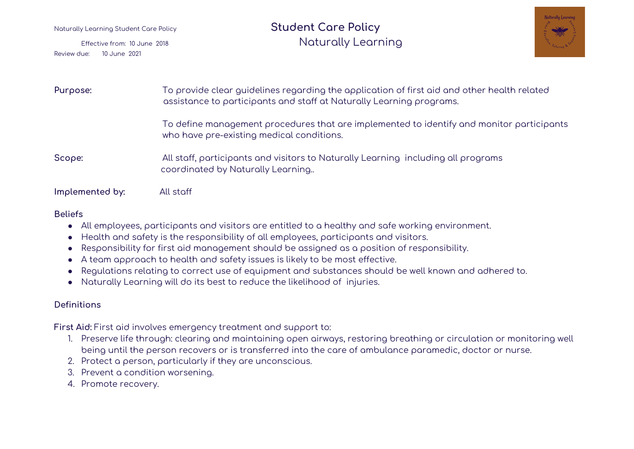# Naturally Learning Student Care Policy **Student Care Policy** Effective from: <sup>10</sup> June <sup>2018</sup> Naturally Learning



| Purpose:        | To provide clear guidelines regarding the application of first aid and other health related<br>assistance to participants and staff at Naturally Learning programs. |
|-----------------|---------------------------------------------------------------------------------------------------------------------------------------------------------------------|
|                 | To define management procedures that are implemented to identify and monitor participants<br>who have pre-existing medical conditions.                              |
| Scope:          | All staff, participants and visitors to Naturally Learning including all programs<br>coordinated by Naturally Learning                                              |
| Implemented by: | All staff                                                                                                                                                           |

## **Beliefs**

- All employees, participants and visitors are entitled to a healthy and safe working environment.
- Health and safety is the responsibility of all employees, participants and visitors.
- Responsibility for first aid management should be assigned as a position of responsibility.
- A team approach to health and safety issues is likely to be most effective.
- Regulations relating to correct use of equipment and substances should be well known and adhered to.
- Naturally Learning will do its best to reduce the likelihood of injuries.

## **Definitions**

**First Aid:** First aid involves emergency treatment and support to:

- 1. Preserve life through: clearing and maintaining open airways, restoring breathing or circulation or monitoring well being until the person recovers or is transferred into the care of ambulance paramedic, doctor or nurse.
- 2. Protect a person, particularly if they are unconscious.
- 3. Prevent a condition worsening.
- 4. Promote recovery.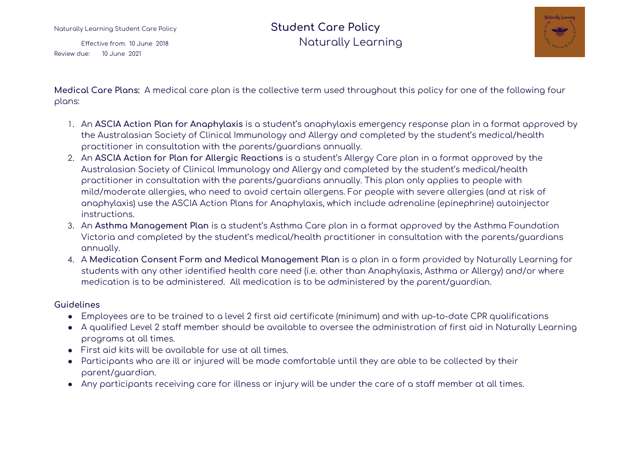# Naturally Learning Student Care Policy **Student Care Policy** Effective from: <sup>10</sup> June <sup>2018</sup> Naturally Learning



**Medical Care Plans:** A medical care plan is the collective term used throughout this policy for one of the following four plans:

- 1. An **ASCIA Action Plan for Anaphylaxis** is a student's anaphylaxis emergency response plan in a format approved by the Australasian Society of Clinical Immunology and Allergy and completed by the student's medical/health practitioner in consultation with the parents/guardians annually.
- 2. An **ASCIA Action for Plan for Allergic Reactions** is a student's Allergy Care plan in a format approved by the Australasian Society of Clinical Immunology and Allergy and completed by the student's medical/health practitioner in consultation with the parents/guardians annually. This plan only applies to people with mild/moderate allergies, who need to avoid certain allergens. For people with severe allergies (and at risk of anaphylaxis) use the ASCIA Action Plans for Anaphylaxis, which include adrenaline (epinephrine) autoinjector instructions.
- 3. An **Asthma Management Plan** is a student's Asthma Care plan in a format approved by the Asthma Foundation Victoria and completed by the student's medical/health practitioner in consultation with the parents/guardians annually.
- 4. A **Medication Consent Form and Medical Management Plan** is a plan in a form provided by Naturally Learning for students with any other identified health care need (i.e. other than Anaphylaxis, Asthma or Allergy) and/or where medication is to be administered. All medication is to be administered by the parent/guardian.

#### **Guidelines**

- Employees are to be trained to a level 2 first aid certificate (minimum) and with up-to-date CPR qualifications
- A qualified Level 2 staff member should be available to oversee the administration of first aid in Naturally Learning programs at all times.
- First aid kits will be available for use at all times.
- Participants who are ill or injured will be made comfortable until they are able to be collected by their parent/guardian.
- Any participants receiving care for illness or injury will be under the care of a staff member at all times.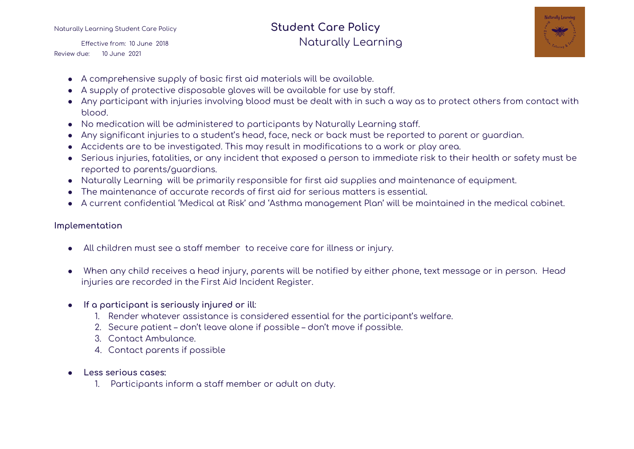# Naturally Learning Student Care Policy **Student Care Policy** Effective from: <sup>10</sup> June <sup>2018</sup> Naturally Learning



- A comprehensive supply of basic first aid materials will be available.
- A supply of protective disposable gloves will be available for use by staff.
- Any participant with injuries involving blood must be dealt with in such a way as to protect others from contact with blood.
- No medication will be administered to participants by Naturally Learning staff.
- Any significant injuries to a student's head, face, neck or back must be reported to parent or guardian.
- Accidents are to be investigated. This may result in modifications to a work or play area.
- Serious injuries, fatalities, or any incident that exposed a person to immediate risk to their health or safety must be reported to parents/guardians.
- Naturally Learning will be primarily responsible for first aid supplies and maintenance of equipment.
- The maintenance of accurate records of first aid for serious matters is essential.
- A current confidential 'Medical at Risk' and 'Asthma management Plan' will be maintained in the medical cabinet.

### **Implementation**

- All children must see a staff member to receive care for illness or injury.
- When any child receives a head injury, parents will be notified by either phone, text message or in person. Head injuries are recorded in the First Aid Incident Register.
- **If a participant is seriously injured or ill**:
	- 1. Render whatever assistance is considered essential for the participant's welfare.
	- 2. Secure patient don't leave alone if possible don't move if possible.
	- 3. Contact Ambulance.
	- 4. Contact parents if possible
- **Less serious cases:**
	- 1. Participants inform a staff member or adult on duty.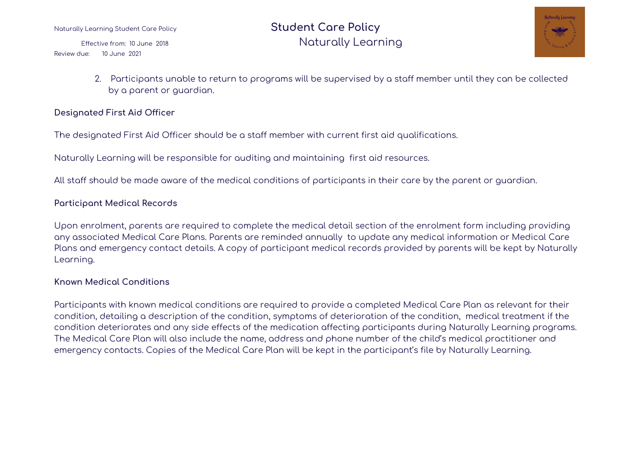Naturally Learning Student Care Policy **Student Care Policy** Effective from: <sup>10</sup> June <sup>2018</sup> Naturally Learning



2. Participants unable to return to programs will be supervised by a staff member until they can be collected by a parent or guardian.

### **Designated First Aid Officer**

The designated First Aid Officer should be a staff member with current first aid qualifications.

Naturally Learning will be responsible for auditing and maintaining first aid resources.

All staff should be made aware of the medical conditions of participants in their care by the parent or guardian.

#### **Participant Medical Records**

Upon enrolment, parents are required to complete the medical detail section of the enrolment form including providing any associated Medical Care Plans. Parents are reminded annually to update any medical information or Medical Care Plans and emergency contact details. A copy of participant medical records provided by parents will be kept by Naturally Learning.

#### **Known Medical Conditions**

Participants with known medical conditions are required to provide a completed Medical Care Plan as relevant for their condition, detailing a description of the condition, symptoms of deterioration of the condition, medical treatment if the condition deteriorates and any side effects of the medication affecting participants during Naturally Learning programs. The Medical Care Plan will also include the name, address and phone number of the child's medical practitioner and emergency contacts. Copies of the Medical Care Plan will be kept in the participant's file by Naturally Learning.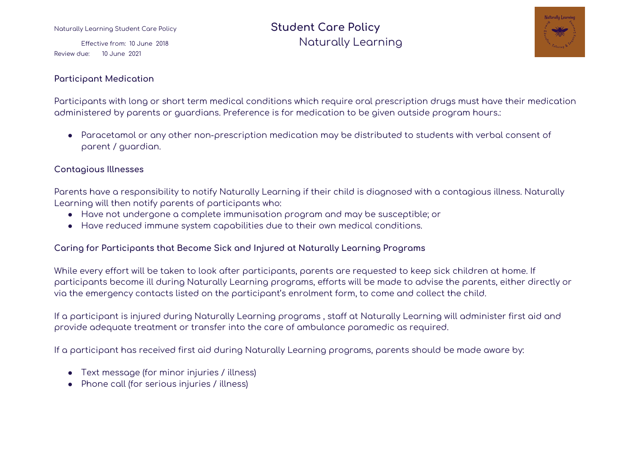#### **Participant Medication**

# Naturally Learning Student Care Policy **Student Care Policy** Effective from: <sup>10</sup> June <sup>2018</sup> Naturally Learning



Participants with long or short term medical conditions which require oral prescription drugs must have their medication administered by parents or guardians. Preference is for medication to be given outside program hours.:

● Paracetamol or any other non-prescription medication may be distributed to students with verbal consent of parent / guardian.

#### **Contagious Illnesses**

Parents have a responsibility to notify Naturally Learning if their child is diagnosed with a contagious illness. Naturally Learning will then notify parents of participants who:

- Have not undergone a complete immunisation program and may be susceptible; or
- Have reduced immune system capabilities due to their own medical conditions.

#### **Caring for Participants that Become Sick and Injured at Naturally Learning Programs**

While every effort will be taken to look after participants, parents are requested to keep sick children at home. If participants become ill during Naturally Learning programs, efforts will be made to advise the parents, either directly or via the emergency contacts listed on the participant's enrolment form, to come and collect the child.

If a participant is injured during Naturally Learning programs , staff at Naturally Learning will administer first aid and provide adequate treatment or transfer into the care of ambulance paramedic as required.

If a participant has received first aid during Naturally Learning programs, parents should be made aware by:

- Text message (for minor injuries / illness)
- Phone call (for serious injuries / illness)